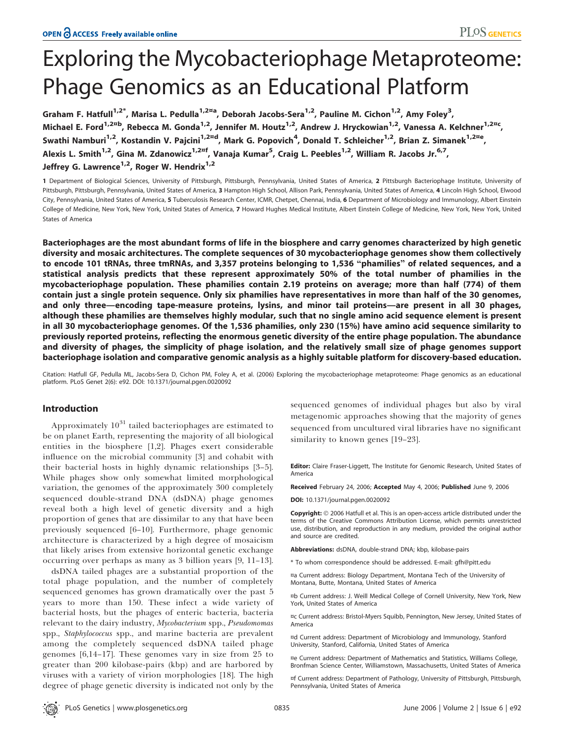# Exploring the Mycobacteriophage Metaproteome: Phage Genomics as an Educational Platform

Graham F. Hatfull<sup>1,2\*</sup>, Marisa L. Pedulla<sup>1,2¤a</sup>, Deborah Jacobs-Sera<sup>1,2</sup>, Pauline M. Cichon<sup>1,2</sup>, Amy Foley<sup>3</sup>, Michael E. Ford<sup>1,2¤b</sup>, Rebecca M. Gonda<sup>1,2</sup>, Jennifer M. Houtz<sup>1,2</sup>, Andrew J. Hryckowian<sup>1,2</sup>, Vanessa A. Kelchner<sup>1,2¤c</sup>, Swathi Namburi<sup>1,2</sup>, Kostandin V. Pajcini<sup>1,2¤d</sup>, Mark G. Popovich<sup>4</sup>, Donald T. Schleicher<sup>1,2</sup>, Brian Z. Simanek<sup>1,2¤e</sup>, Alexis L. Smith<sup>1,2</sup>, Gina M. Zdanowicz<sup>1,2¤f</sup>, Vanaja Kumar<sup>5</sup>, Craig L. Peebles<sup>1,2</sup>, William R. Jacobs Jr.<sup>6,7</sup>, Jeffrey G. Lawrence<sup>1,2</sup>, Roger W. Hendrix<sup>1,2</sup>

1 Department of Biological Sciences, University of Pittsburgh, Pittsburgh, Pennsylvania, United States of America, 2 Pittsburgh Bacteriophage Institute, University of Pittsburgh, Pittsburgh, Pennsylvania, United States of America, 3 Hampton High School, Allison Park, Pennsylvania, United States of America, 4 Lincoln High School, Elwood City, Pennsylvania, United States of America, 5 Tuberculosis Research Center, ICMR, Chetpet, Chennai, India, 6 Department of Microbiology and Immunology, Albert Einstein College of Medicine, New York, New York, United States of America, 7 Howard Hughes Medical Institute, Albert Einstein College of Medicine, New York, New York, United States of America

Bacteriophages are the most abundant forms of life in the biosphere and carry genomes characterized by high genetic diversity and mosaic architectures. The complete sequences of 30 mycobacteriophage genomes show them collectively to encode 101 tRNAs, three tmRNAs, and 3,357 proteins belonging to 1,536 ''phamilies'' of related sequences, and a statistical analysis predicts that these represent approximately 50% of the total number of phamilies in the mycobacteriophage population. These phamilies contain 2.19 proteins on average; more than half (774) of them contain just a single protein sequence. Only six phamilies have representatives in more than half of the 30 genomes, and only three—encoding tape-measure proteins, lysins, and minor tail proteins—are present in all 30 phages, although these phamilies are themselves highly modular, such that no single amino acid sequence element is present in all 30 mycobacteriophage genomes. Of the 1,536 phamilies, only 230 (15%) have amino acid sequence similarity to previously reported proteins, reflecting the enormous genetic diversity of the entire phage population. The abundance and diversity of phages, the simplicity of phage isolation, and the relatively small size of phage genomes support bacteriophage isolation and comparative genomic analysis as a highly suitable platform for discovery-based education.

Citation: Hatfull GF, Pedulla ML, Jacobs-Sera D, Cichon PM, Foley A, et al. (2006) Exploring the mycobacteriophage metaproteome: Phage genomics as an educational platform. PLoS Genet 2(6): e92. DOI: 10.1371/journal.pgen.0020092

# Introduction

Approximately  $10^{31}$  tailed bacteriophages are estimated to be on planet Earth, representing the majority of all biological entities in the biosphere [1,2]. Phages exert considerable influence on the microbial community [3] and cohabit with their bacterial hosts in highly dynamic relationships [3–5]. While phages show only somewhat limited morphological variation, the genomes of the approximately 300 completely sequenced double-strand DNA (dsDNA) phage genomes reveal both a high level of genetic diversity and a high proportion of genes that are dissimilar to any that have been previously sequenced [6–10]. Furthermore, phage genomic architecture is characterized by a high degree of mosaicism that likely arises from extensive horizontal genetic exchange occurring over perhaps as many as 3 billion years [9, 11–13].

dsDNA tailed phages are a substantial proportion of the total phage population, and the number of completely sequenced genomes has grown dramatically over the past 5 years to more than 150. These infect a wide variety of bacterial hosts, but the phages of enteric bacteria, bacteria relevant to the dairy industry, Mycobacterium spp., Pseudomomas spp., Staphylococcus spp., and marine bacteria are prevalent among the completely sequenced dsDNA tailed phage genomes [6,14–17]. These genomes vary in size from 25 to greater than 200 kilobase-pairs (kbp) and are harbored by viruses with a variety of virion morphologies [18]. The high degree of phage genetic diversity is indicated not only by the sequenced genomes of individual phages but also by viral metagenomic approaches showing that the majority of genes sequenced from uncultured viral libraries have no significant similarity to known genes [19–23].

Editor: Claire Fraser-Liggett, The Institute for Genomic Research, United States of America

Received February 24, 2006; Accepted May 4, 2006; Published June 9, 2006

DOI: 10.1371/journal.pgen.0020092

Copyright:  $\odot$  2006 Hatfull et al. This is an open-access article distributed under the terms of the Creative Commons Attribution License, which permits unrestricted use, distribution, and reproduction in any medium, provided the original author and source are credited.

Abbreviations: dsDNA, double-strand DNA; kbp, kilobase-pairs

\* To whom correspondence should be addressed. E-mail: gfh@pitt.edu

¤a Current address: Biology Department, Montana Tech of the University of Montana, Butte, Montana, United States of America

¤b Current address: J. Weill Medical College of Cornell University, New York, New York, United States of America

¤c Current address: Bristol-Myers Squibb, Pennington, New Jersey, United States of America

¤d Current address: Department of Microbiology and Immunology, Stanford University, Stanford, California, United States of America

¤e Current address: Department of Mathematics and Statistics, Williams College, Bronfman Science Center, Williamstown, Massachusetts, United States of America

¤f Current address: Department of Pathology, University of Pittsburgh, Pittsburgh, Pennsylvania, United States of America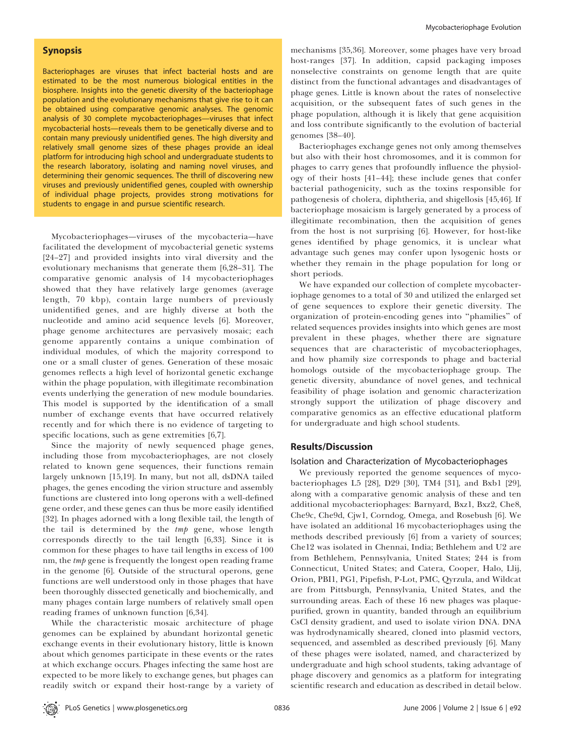# Synopsis

Bacteriophages are viruses that infect bacterial hosts and are estimated to be the most numerous biological entities in the biosphere. Insights into the genetic diversity of the bacteriophage population and the evolutionary mechanisms that give rise to it can be obtained using comparative genomic analyses. The genomic analysis of 30 complete mycobacteriophages—viruses that infect mycobacterial hosts—reveals them to be genetically diverse and to contain many previously unidentified genes. The high diversity and relatively small genome sizes of these phages provide an ideal platform for introducing high school and undergraduate students to the research laboratory, isolating and naming novel viruses, and determining their genomic sequences. The thrill of discovering new viruses and previously unidentified genes, coupled with ownership of individual phage projects, provides strong motivations for students to engage in and pursue scientific research.

Mycobacteriophages—viruses of the mycobacteria—have facilitated the development of mycobacterial genetic systems [24–27] and provided insights into viral diversity and the evolutionary mechanisms that generate them [6,28–31]. The comparative genomic analysis of 14 mycobacteriophages showed that they have relatively large genomes (average length, 70 kbp), contain large numbers of previously unidentified genes, and are highly diverse at both the nucleotide and amino acid sequence levels [6]. Moreover, phage genome architectures are pervasively mosaic; each genome apparently contains a unique combination of individual modules, of which the majority correspond to one or a small cluster of genes. Generation of these mosaic genomes reflects a high level of horizontal genetic exchange within the phage population, with illegitimate recombination events underlying the generation of new module boundaries. This model is supported by the identification of a small number of exchange events that have occurred relatively recently and for which there is no evidence of targeting to specific locations, such as gene extremities [6,7].

Since the majority of newly sequenced phage genes, including those from mycobacteriophages, are not closely related to known gene sequences, their functions remain largely unknown [15,19]. In many, but not all, dsDNA tailed phages, the genes encoding the virion structure and assembly functions are clustered into long operons with a well-defined gene order, and these genes can thus be more easily identified [32]. In phages adorned with a long flexible tail, the length of the tail is determined by the tmp gene, whose length corresponds directly to the tail length [6,33]. Since it is common for these phages to have tail lengths in excess of 100 nm, the *tmp* gene is frequently the longest open reading frame in the genome [6]. Outside of the structural operons, gene functions are well understood only in those phages that have been thoroughly dissected genetically and biochemically, and many phages contain large numbers of relatively small open reading frames of unknown function [6,34].

While the characteristic mosaic architecture of phage genomes can be explained by abundant horizontal genetic exchange events in their evolutionary history, little is known about which genomes participate in these events or the rates at which exchange occurs. Phages infecting the same host are expected to be more likely to exchange genes, but phages can readily switch or expand their host-range by a variety of

mechanisms [35,36]. Moreover, some phages have very broad host-ranges [37]. In addition, capsid packaging imposes nonselective constraints on genome length that are quite distinct from the functional advantages and disadvantages of phage genes. Little is known about the rates of nonselective acquisition, or the subsequent fates of such genes in the phage population, although it is likely that gene acquisition and loss contribute significantly to the evolution of bacterial genomes [38–40].

Bacteriophages exchange genes not only among themselves but also with their host chromosomes, and it is common for phages to carry genes that profoundly influence the physiology of their hosts [41–44]; these include genes that confer bacterial pathogenicity, such as the toxins responsible for pathogenesis of cholera, diphtheria, and shigellosis [45,46]. If bacteriophage mosaicism is largely generated by a process of illegitimate recombination, then the acquisition of genes from the host is not surprising [6]. However, for host-like genes identified by phage genomics, it is unclear what advantage such genes may confer upon lysogenic hosts or whether they remain in the phage population for long or short periods.

We have expanded our collection of complete mycobacteriophage genomes to a total of 30 and utilized the enlarged set of gene sequences to explore their genetic diversity. The organization of protein-encoding genes into ''phamilies'' of related sequences provides insights into which genes are most prevalent in these phages, whether there are signature sequences that are characteristic of mycobacteriophages, and how phamily size corresponds to phage and bacterial homologs outside of the mycobacteriophage group. The genetic diversity, abundance of novel genes, and technical feasibility of phage isolation and genomic characterization strongly support the utilization of phage discovery and comparative genomics as an effective educational platform for undergraduate and high school students.

## Results/Discussion

## Isolation and Characterization of Mycobacteriophages

We previously reported the genome sequences of mycobacteriophages L5 [28], D29 [30], TM4 [31], and Bxb1 [29], along with a comparative genomic analysis of these and ten additional mycobacteriophages: Barnyard, Bxz1, Bxz2, Che8, Che9c, Che9d, Cjw1, Corndog, Omega, and Rosebush [6]. We have isolated an additional 16 mycobacteriophages using the methods described previously [6] from a variety of sources; Che12 was isolated in Chennai, India; Bethlehem and U2 are from Bethlehem, Pennsylvania, United States; 244 is from Connecticut, United States; and Catera, Cooper, Halo, Llij, Orion, PBI1, PG1, Pipefish, P-Lot, PMC, Qyrzula, and Wildcat are from Pittsburgh, Pennsylvania, United States, and the surrounding areas. Each of these 16 new phages was plaquepurified, grown in quantity, banded through an equilibrium CsCl density gradient, and used to isolate virion DNA. DNA was hydrodynamically sheared, cloned into plasmid vectors, sequenced, and assembled as described previously [6]. Many of these phages were isolated, named, and characterized by undergraduate and high school students, taking advantage of phage discovery and genomics as a platform for integrating scientific research and education as described in detail below.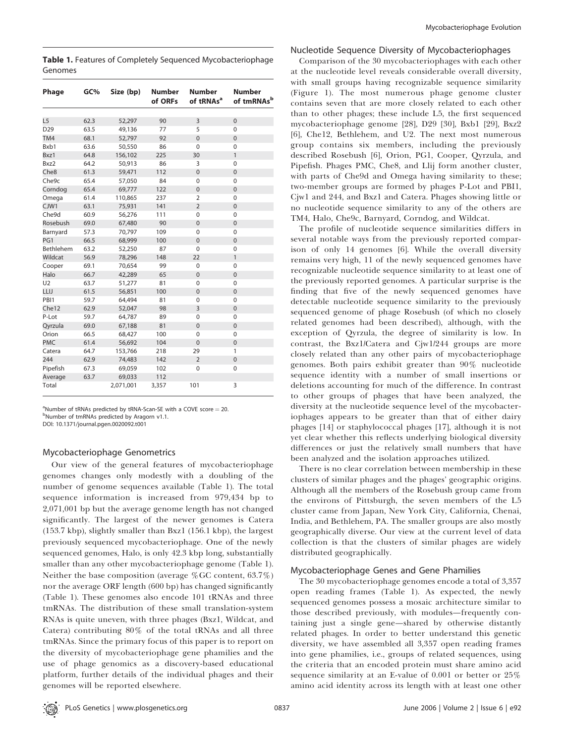Table 1. Features of Completely Sequenced Mycobacteriophage Genomes

| Phage            | GC%  | Size (bp) | <b>Number</b> | <b>Number</b>         | <b>Number</b>          |
|------------------|------|-----------|---------------|-----------------------|------------------------|
|                  |      |           | of ORFs       | of tRNAs <sup>a</sup> | of tmRNAs <sup>b</sup> |
|                  |      |           |               |                       |                        |
| L <sub>5</sub>   | 62.3 | 52,297    | 90            | 3                     | $\Omega$               |
| D <sub>29</sub>  | 63.5 | 49,136    | 77            | 5                     | $\Omega$               |
| TM4              | 68.1 | 52,797    | 92            | $\Omega$              | $\Omega$               |
| Bxb1             | 63.6 | 50,550    | 86            | $\Omega$              | $\Omega$               |
| Bxz1             | 64.8 | 156,102   | 225           | 30                    | $\mathbf{1}$           |
| Bxz2             | 64.2 | 50,913    | 86            | 3                     | $\Omega$               |
| Che <sub>8</sub> | 61.3 | 59,471    | 112           | $\mathbf 0$           | $\Omega$               |
| Che9c            | 65.4 | 57,050    | 84            | $\mathbf 0$           | $\Omega$               |
| Corndog          | 65.4 | 69,777    | 122           | $\mathbf 0$           | $\overline{0}$         |
| Omega            | 61.4 | 110,865   | 237           | $\overline{2}$        | $\Omega$               |
| CJW1             | 63.1 | 75,931    | 141           | $\overline{2}$        | $\Omega$               |
| Che9d            | 60.9 | 56,276    | 111           | $\mathbf 0$           | $\mathbf 0$            |
| Rosebush         | 69.0 | 67,480    | 90            | $\mathbf 0$           | $\overline{0}$         |
| Barnyard         | 57.3 | 70,797    | 109           | $\mathbf{0}$          | $\Omega$               |
| PG1              | 66.5 | 68,999    | 100           | $\Omega$              | $\Omega$               |
| Bethlehem        | 63.2 | 52,250    | 87            | $\mathbf{0}$          | $\Omega$               |
| Wildcat          | 56.9 | 78,296    | 148           | 22                    | $\mathbf{1}$           |
| Cooper           | 69.1 | 70,654    | 99            | $\mathbf 0$           | $\Omega$               |
| Halo             | 66.7 | 42,289    | 65            | $\Omega$              | $\Omega$               |
| U <sub>2</sub>   | 63.7 | 51,277    | 81            | $\mathbf 0$           | $\overline{0}$         |
| LLIJ             | 61.5 | 56,851    | 100           | $\mathbf 0$           | $\mathbf 0$            |
| PBI1             | 59.7 | 64,494    | 81            | 0                     | $\mathbf 0$            |
| Che12            | 62.9 | 52,047    | 98            | $\overline{3}$        | $\overline{0}$         |
| P-Lot            | 59.7 | 64,787    | 89            | $\Omega$              | $\Omega$               |
| Qyrzula          | 69.0 | 67,188    | 81            | $\mathbf 0$           | $\overline{0}$         |
| Orion            | 66.5 | 68,427    | 100           | $\mathbf 0$           | 0                      |
| <b>PMC</b>       | 61.4 | 56,692    | 104           | $\Omega$              | $\Omega$               |
| Catera           | 64.7 | 153,766   | 218           | 29                    | 1                      |
| 244              | 62.9 | 74,483    | 142           | $\overline{2}$        | $\overline{0}$         |
| Pipefish         | 67.3 | 69,059    | 102           | $\mathbf 0$           | $\mathbf 0$            |
| Average          | 63.7 | 69,033    | 112           |                       |                        |
| Total            |      | 2,071,001 | 3,357         | 101                   | 3                      |

<sup>a</sup>Number of tRNAs predicted by tRNA-Scan-SE with a COVE score = 20.<br><sup>bNumber of tmPNAs prodicted by Aragorn v1.1</sup> <sup>b</sup>Number of tmRNAs predicted by Aragorn v1.1.

DOI: 10.1371/journal.pgen.0020092.t001

# Mycobacteriophage Genometrics

Our view of the general features of mycobacteriophage genomes changes only modestly with a doubling of the number of genome sequences available (Table 1). The total sequence information is increased from 979,434 bp to 2,071,001 bp but the average genome length has not changed significantly. The largest of the newer genomes is Catera (153.7 kbp), slightly smaller than Bxz1 (156.1 kbp), the largest previously sequenced mycobacteriophage. One of the newly sequenced genomes, Halo, is only 42.3 kbp long, substantially smaller than any other mycobacteriophage genome (Table 1). Neither the base composition (average %GC content, 63.7%) nor the average ORF length (600 bp) has changed significantly (Table 1). These genomes also encode 101 tRNAs and three tmRNAs. The distribution of these small translation-system RNAs is quite uneven, with three phages (Bxz1, Wildcat, and Catera) contributing 80% of the total tRNAs and all three tmRNAs. Since the primary focus of this paper is to report on the diversity of mycobacteriophage gene phamilies and the use of phage genomics as a discovery-based educational platform, further details of the individual phages and their genomes will be reported elsewhere.

#### Nucleotide Sequence Diversity of Mycobacteriophages

Comparison of the 30 mycobacteriophages with each other at the nucleotide level reveals considerable overall diversity, with small groups having recognizable sequence similarity (Figure 1). The most numerous phage genome cluster contains seven that are more closely related to each other than to other phages; these include L5, the first sequenced mycobacteriophage genome [28], D29 [30], Bxb1 [29], Bxz2 [6], Che12, Bethlehem, and U2. The next most numerous group contains six members, including the previously described Rosebush [6], Orion, PG1, Cooper, Qyrzula, and Pipefish. Phages PMC, Che8, and Llij form another cluster, with parts of Che9d and Omega having similarity to these; two-member groups are formed by phages P-Lot and PBI1, Cjw1 and 244, and Bxz1 and Catera. Phages showing little or no nucleotide sequence similarity to any of the others are TM4, Halo, Che9c, Barnyard, Corndog, and Wildcat.

The profile of nucleotide sequence similarities differs in several notable ways from the previously reported comparison of only 14 genomes [6]. While the overall diversity remains very high, 11 of the newly sequenced genomes have recognizable nucleotide sequence similarity to at least one of the previously reported genomes. A particular surprise is the finding that five of the newly sequenced genomes have detectable nucleotide sequence similarity to the previously sequenced genome of phage Rosebush (of which no closely related genomes had been described), although, with the exception of Qyrzula, the degree of similarity is low. In contrast, the Bxz1/Catera and Cjw1/244 groups are more closely related than any other pairs of mycobacteriophage genomes. Both pairs exhibit greater than 90% nucleotide sequence identity with a number of small insertions or deletions accounting for much of the difference. In contrast to other groups of phages that have been analyzed, the diversity at the nucleotide sequence level of the mycobacteriophages appears to be greater than that of either dairy phages [14] or staphylococcal phages [17], although it is not yet clear whether this reflects underlying biological diversity differences or just the relatively small numbers that have been analyzed and the isolation approaches utilized.

There is no clear correlation between membership in these clusters of similar phages and the phages' geographic origins. Although all the members of the Rosebush group came from the environs of Pittsburgh, the seven members of the L5 cluster came from Japan, New York City, California, Chenai, India, and Bethlehem, PA. The smaller groups are also mostly geographically diverse. Our view at the current level of data collection is that the clusters of similar phages are widely distributed geographically.

#### Mycobacteriophage Genes and Gene Phamilies

The 30 mycobacteriophage genomes encode a total of 3,357 open reading frames (Table 1). As expected, the newly sequenced genomes possess a mosaic architecture similar to those described previously, with modules—frequently containing just a single gene—shared by otherwise distantly related phages. In order to better understand this genetic diversity, we have assembled all 3,357 open reading frames into gene phamilies, i.e., groups of related sequences, using the criteria that an encoded protein must share amino acid sequence similarity at an E-value of 0.001 or better or 25% amino acid identity across its length with at least one other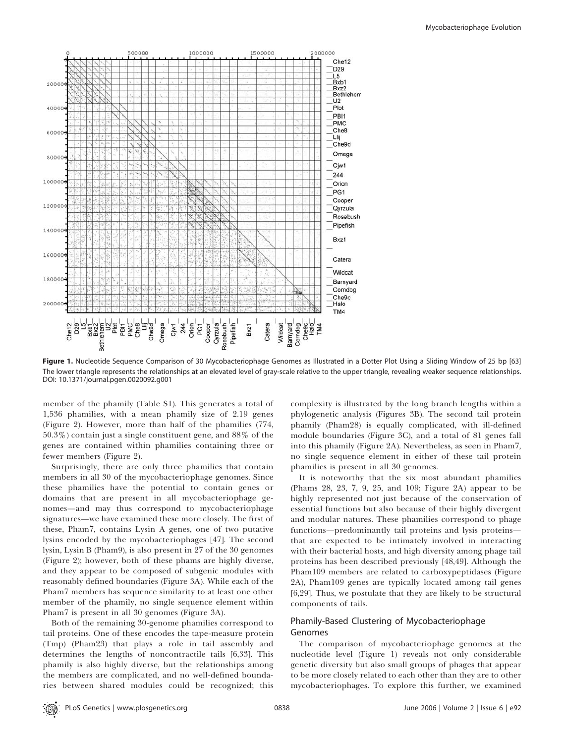

Figure 1. Nucleotide Sequence Comparison of 30 Mycobacteriophage Genomes as Illustrated in a Dotter Plot Using a Sliding Window of 25 bp [63] The lower triangle represents the relationships at an elevated level of gray-scale relative to the upper triangle, revealing weaker sequence relationships. DOI: 10.1371/journal.pgen.0020092.g001

member of the phamily (Table S1). This generates a total of 1,536 phamilies, with a mean phamily size of 2.19 genes (Figure 2). However, more than half of the phamilies (774, 50.3%) contain just a single constituent gene, and 88% of the genes are contained within phamilies containing three or fewer members (Figure 2).

Surprisingly, there are only three phamilies that contain members in all 30 of the mycobacteriophage genomes. Since these phamilies have the potential to contain genes or domains that are present in all mycobacteriophage genomes—and may thus correspond to mycobacteriophage signatures—we have examined these more closely. The first of these, Pham7, contains Lysin A genes, one of two putative lysins encoded by the mycobacteriophages [47]. The second lysin, Lysin B (Pham9), is also present in 27 of the 30 genomes (Figure 2); however, both of these phams are highly diverse, and they appear to be composed of subgenic modules with reasonably defined boundaries (Figure 3A). While each of the Pham7 members has sequence similarity to at least one other member of the phamily, no single sequence element within Pham7 is present in all 30 genomes (Figure 3A).

Both of the remaining 30-genome phamilies correspond to tail proteins. One of these encodes the tape-measure protein (Tmp) (Pham23) that plays a role in tail assembly and determines the lengths of noncontractile tails [6,33]. This phamily is also highly diverse, but the relationships among the members are complicated, and no well-defined boundaries between shared modules could be recognized; this

complexity is illustrated by the long branch lengths within a phylogenetic analysis (Figures 3B). The second tail protein phamily (Pham28) is equally complicated, with ill-defined module boundaries (Figure 3C), and a total of 81 genes fall into this phamily (Figure 2A). Nevertheless, as seen in Pham7, no single sequence element in either of these tail protein phamilies is present in all 30 genomes.

It is noteworthy that the six most abundant phamilies (Phams 28, 23, 7, 9, 25, and 109; Figure 2A) appear to be highly represented not just because of the conservation of essential functions but also because of their highly divergent and modular natures. These phamilies correspond to phage functions—predominantly tail proteins and lysis proteins that are expected to be intimately involved in interacting with their bacterial hosts, and high diversity among phage tail proteins has been described previously [48,49]. Although the Pham109 members are related to carboxypeptidases (Figure 2A), Pham109 genes are typically located among tail genes [6,29]. Thus, we postulate that they are likely to be structural components of tails.

# Phamily-Based Clustering of Mycobacteriophage Genomes

The comparison of mycobacteriophage genomes at the nucleotide level (Figure 1) reveals not only considerable genetic diversity but also small groups of phages that appear to be more closely related to each other than they are to other mycobacteriophages. To explore this further, we examined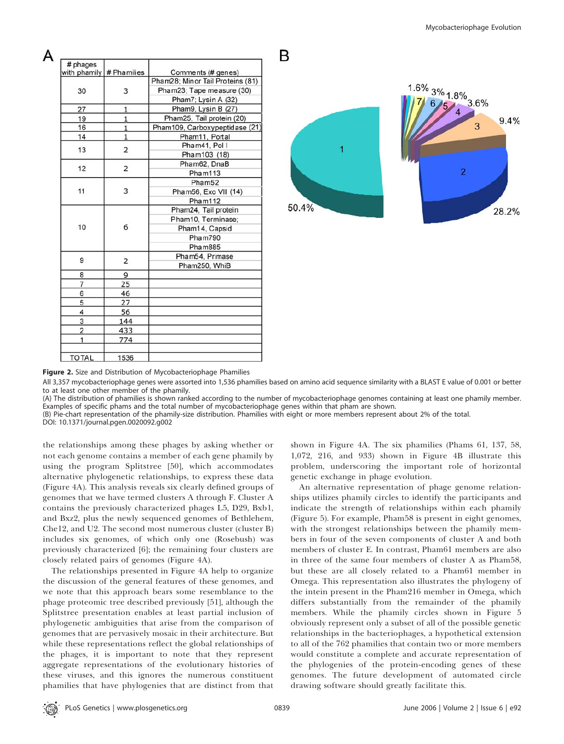| # phages       | with phamily # Phamilies | Comments (# genes)               |  |
|----------------|--------------------------|----------------------------------|--|
| 30             | 3                        | Pham28; Minor Tail Proteins (81) |  |
|                |                          | Pham23; Tape measure (30)        |  |
|                |                          | Pham7; Lysin A (32)              |  |
| 27             | 1                        | Pham9, Lysin B (27)              |  |
| 19             | $\mathbf{1}$             | Pham25, Tail protein (20)        |  |
| 16             | $\mathbf{1}$             | Pham109, Carboxypeptidase (21)   |  |
| 14             | $\mathbf{1}$             | Pham11, Portal                   |  |
| 13             | 2                        | Pham41, Pol I                    |  |
|                |                          | Pham103 (18)                     |  |
| 12             | $\overline{2}$           | Pham62, DnaB                     |  |
|                |                          | Pham113                          |  |
|                | 3                        | Pham52                           |  |
| 11             |                          | Pham56, Exo VII (14)             |  |
|                |                          | Pham112                          |  |
|                | 6                        | Pham24, Tail protein             |  |
|                |                          | Pham10, Terminase;               |  |
| 10             |                          | Pham14, Capsid                   |  |
|                |                          | Pham790                          |  |
|                |                          | Pham885                          |  |
| 9              | $\overline{2}$           | Pham54, Primase                  |  |
|                |                          | Pham250, WhiB                    |  |
| 8              | 9                        |                                  |  |
| $\overline{7}$ | 25                       |                                  |  |
| 6              | 46                       |                                  |  |
| 5              | 27                       |                                  |  |
| 4              | 56                       |                                  |  |
| 3              | 144                      |                                  |  |
| $\overline{2}$ | 433                      |                                  |  |
|                | 774                      |                                  |  |
| <b>TOTAL</b>   | 1536                     |                                  |  |



Figure 2. Size and Distribution of Mycobacteriophage Phamilies

All 3,357 mycobacteriophage genes were assorted into 1,536 phamilies based on amino acid sequence similarity with a BLAST E value of 0.001 or better to at least one other member of the phamily.

B

(A) The distribution of phamilies is shown ranked according to the number of mycobacteriophage genomes containing at least one phamily member. Examples of specific phams and the total number of mycobacteriophage genes within that pham are shown.

(B) Pie-chart representation of the phamily-size distribution. Phamilies with eight or more members represent about 2% of the total.

DOI: 10.1371/journal.pgen.0020092.g002

А

the relationships among these phages by asking whether or not each genome contains a member of each gene phamily by using the program Splitstree [50], which accommodates alternative phylogenetic relationships, to express these data (Figure 4A). This analysis reveals six clearly defined groups of genomes that we have termed clusters A through F. Cluster A contains the previously characterized phages L5, D29, Bxb1, and Bxz2, plus the newly sequenced genomes of Bethlehem, Che12, and U2. The second most numerous cluster (cluster B) includes six genomes, of which only one (Rosebush) was previously characterized [6]; the remaining four clusters are closely related pairs of genomes (Figure 4A).

The relationships presented in Figure 4A help to organize the discussion of the general features of these genomes, and we note that this approach bears some resemblance to the phage proteomic tree described previously [51], although the Splitstree presentation enables at least partial inclusion of phylogenetic ambiguities that arise from the comparison of genomes that are pervasively mosaic in their architecture. But while these representations reflect the global relationships of the phages, it is important to note that they represent aggregate representations of the evolutionary histories of these viruses, and this ignores the numerous constituent phamilies that have phylogenies that are distinct from that

shown in Figure 4A. The six phamilies (Phams 61, 137, 58, 1,072, 216, and 933) shown in Figure 4B illustrate this problem, underscoring the important role of horizontal genetic exchange in phage evolution.

An alternative representation of phage genome relationships utilizes phamily circles to identify the participants and indicate the strength of relationships within each phamily (Figure 5). For example, Pham58 is present in eight genomes, with the strongest relationships between the phamily members in four of the seven components of cluster A and both members of cluster E. In contrast, Pham61 members are also in three of the same four members of cluster A as Pham58, but these are all closely related to a Pham61 member in Omega. This representation also illustrates the phylogeny of the intein present in the Pham216 member in Omega, which differs substantially from the remainder of the phamily members. While the phamily circles shown in Figure 5 obviously represent only a subset of all of the possible genetic relationships in the bacteriophages, a hypothetical extension to all of the 762 phamilies that contain two or more members would constitute a complete and accurate representation of the phylogenies of the protein-encoding genes of these genomes. The future development of automated circle drawing software should greatly facilitate this.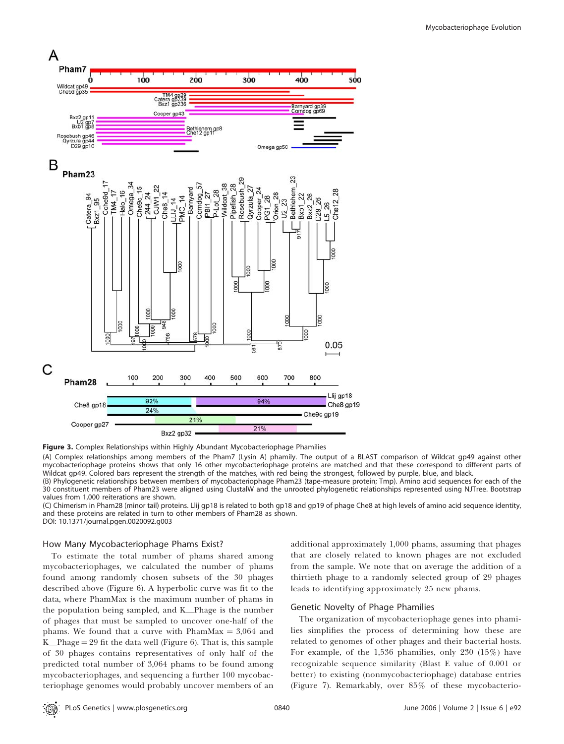

Figure 3. Complex Relationships within Highly Abundant Mycobacteriophage Phamilies

(A) Complex relationships among members of the Pham7 (Lysin A) phamily. The output of a BLAST comparison of Wildcat gp49 against other mycobacteriophage proteins shows that only 16 other mycobacteriophage proteins are matched and that these correspond to different parts of Wildcat gp49. Colored bars represent the strength of the matches, with red being the strongest, followed by purple, blue, and black.

(B) Phylogenetic relationships between members of mycobacteriophage Pham23 (tape-measure protein; Tmp). Amino acid sequences for each of the 30 constituent members of Pham23 were aligned using ClustalW and the unrooted phylogenetic relationships represented using NJTree. Bootstrap values from 1,000 reiterations are shown.

(C) Chimerism in Pham28 (minor tail) proteins. Llij gp18 is related to both gp18 and gp19 of phage Che8 at high levels of amino acid sequence identity, and these proteins are related in turn to other members of Pham28 as shown. DOI: 10.1371/journal.pgen.0020092.g003

How Many Mycobacteriophage Phams Exist?

To estimate the total number of phams shared among mycobacteriophages, we calculated the number of phams found among randomly chosen subsets of the 30 phages described above (Figure 6). A hyperbolic curve was fit to the data, where PhamMax is the maximum number of phams in the population being sampled, and K\_Phage is the number of phages that must be sampled to uncover one-half of the phams. We found that a curve with PhamMax  $= 3,064$  and K\_Phage  $= 29$  fit the data well (Figure 6). That is, this sample of 30 phages contains representatives of only half of the predicted total number of 3,064 phams to be found among mycobacteriophages, and sequencing a further 100 mycobacteriophage genomes would probably uncover members of an

additional approximately 1,000 phams, assuming that phages that are closely related to known phages are not excluded from the sample. We note that on average the addition of a thirtieth phage to a randomly selected group of 29 phages leads to identifying approximately 25 new phams.

#### Genetic Novelty of Phage Phamilies

The organization of mycobacteriophage genes into phamilies simplifies the process of determining how these are related to genomes of other phages and their bacterial hosts. For example, of the 1,536 phamilies, only 230 (15%) have recognizable sequence similarity (Blast E value of 0.001 or better) to existing (nonmycobacteriophage) database entries (Figure 7). Remarkably, over 85% of these mycobacterio-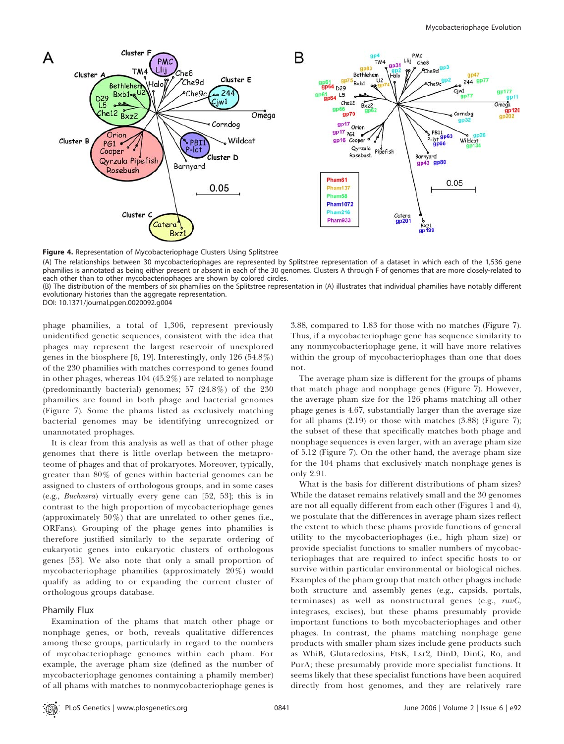

Figure 4. Representation of Mycobacteriophage Clusters Using Splitstree

(A) The relationships between 30 mycobacteriophages are represented by Splitstree representation of a dataset in which each of the 1,536 gene phamilies is annotated as being either present or absent in each of the 30 genomes. Clusters A through F of genomes that are more closely-related to each other than to other mycobacteriophages are shown by colored circles.

(B) The distribution of the members of six phamilies on the Splitstree representation in (A) illustrates that individual phamilies have notably different evolutionary histories than the aggregate representation.

DOI: 10.1371/journal.pgen.0020092.g004

phage phamilies, a total of 1,306, represent previously unidentified genetic sequences, consistent with the idea that phages may represent the largest reservoir of unexplored genes in the biosphere [6, 19]. Interestingly, only 126 (54.8%) of the 230 phamilies with matches correspond to genes found in other phages, whereas 104 (45.2%) are related to nonphage (predominantly bacterial) genomes; 57 (24.8%) of the 230 phamilies are found in both phage and bacterial genomes (Figure 7). Some the phams listed as exclusively matching bacterial genomes may be identifying unrecognized or unannotated prophages.

It is clear from this analysis as well as that of other phage genomes that there is little overlap between the metaproteome of phages and that of prokaryotes. Moreover, typically, greater than 80% of genes within bacterial genomes can be assigned to clusters of orthologous groups, and in some cases (e.g., Buchnera) virtually every gene can [52, 53]; this is in contrast to the high proportion of mycobacteriophage genes (approximately 50%) that are unrelated to other genes (i.e., ORFans). Grouping of the phage genes into phamilies is therefore justified similarly to the separate ordering of eukaryotic genes into eukaryotic clusters of orthologous genes [53]. We also note that only a small proportion of mycobacteriophage phamilies (approximately 20%) would qualify as adding to or expanding the current cluster of orthologous groups database.

# Phamily Flux

Examination of the phams that match other phage or nonphage genes, or both, reveals qualitative differences among these groups, particularly in regard to the numbers of mycobacteriophage genomes within each pham. For example, the average pham size (defined as the number of mycobacteriophage genomes containing a phamily member) of all phams with matches to nonmycobacteriophage genes is

3.88, compared to 1.83 for those with no matches (Figure 7). Thus, if a mycobacteriophage gene has sequence similarity to any nonmycobacteriophage gene, it will have more relatives within the group of mycobacteriophages than one that does not.

The average pham size is different for the groups of phams that match phage and nonphage genes (Figure 7). However, the average pham size for the 126 phams matching all other phage genes is 4.67, substantially larger than the average size for all phams (2.19) or those with matches (3.88) (Figure 7); the subset of these that specifically matches both phage and nonphage sequences is even larger, with an average pham size of 5.12 (Figure 7). On the other hand, the average pham size for the 104 phams that exclusively match nonphage genes is only 2.91.

What is the basis for different distributions of pham sizes? While the dataset remains relatively small and the 30 genomes are not all equally different from each other (Figures 1 and 4), we postulate that the differences in average pham sizes reflect the extent to which these phams provide functions of general utility to the mycobacteriophages (i.e., high pham size) or provide specialist functions to smaller numbers of mycobacteriophages that are required to infect specific hosts to or survive within particular environmental or biological niches. Examples of the pham group that match other phages include both structure and assembly genes (e.g., capsids, portals, terminases) as well as nonstructural genes (e.g., ruvC, integrases, excises), but these phams presumably provide important functions to both mycobacteriophages and other phages. In contrast, the phams matching nonphage gene products with smaller pham sizes include gene products such as WhiB, Glutaredoxins, FtsK, Lsr2, DinD, DinG, Ro, and PurA; these presumably provide more specialist functions. It seems likely that these specialist functions have been acquired directly from host genomes, and they are relatively rare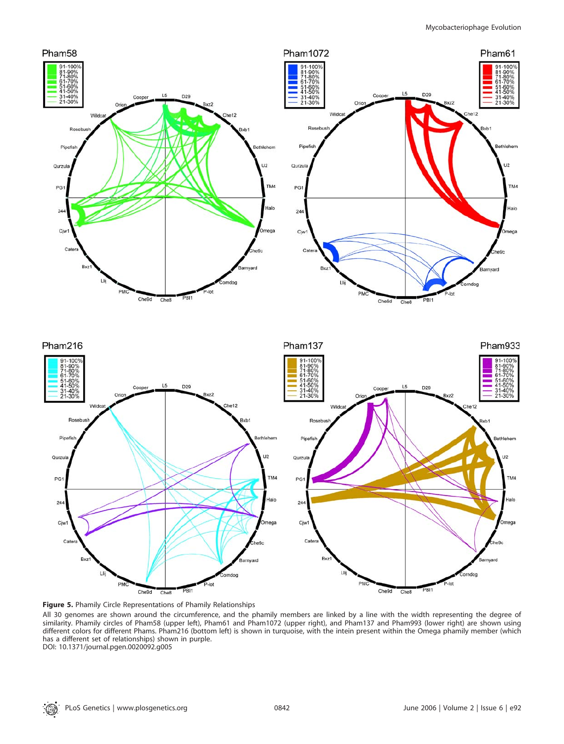

Figure 5. Phamily Circle Representations of Phamily Relationships

All 30 genomes are shown around the circumference, and the phamily members are linked by a line with the width representing the degree of similarity. Phamily circles of Pham58 (upper left), Pham61 and Pham1072 (upper right), and Pham137 and Pham993 (lower right) are shown using different colors for different Phams. Pham216 (bottom left) is shown in turquoise, with the intein present within the Omega phamily member (which has a different set of relationships) shown in purple.

DOI: 10.1371/journal.pgen.0020092.g005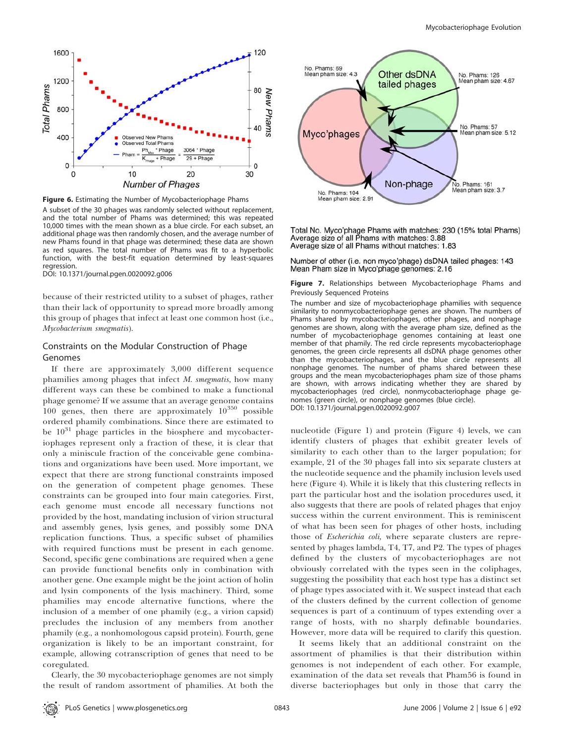

Figure 6. Estimating the Number of Mycobacteriophage Phams

A subset of the 30 phages was randomly selected without replacement, and the total number of Phams was determined; this was repeated 10,000 times with the mean shown as a blue circle. For each subset, an additional phage was then randomly chosen, and the average number of new Phams found in that phage was determined; these data are shown as red squares. The total number of Phams was fit to a hyperbolic function, with the best-fit equation determined by least-squares regression.

DOI: 10.1371/journal.pgen.0020092.g006

because of their restricted utility to a subset of phages, rather than their lack of opportunity to spread more broadly among this group of phages that infect at least one common host (i.e., Mycobacterium smegmatis).

# Constraints on the Modular Construction of Phage Genomes

If there are approximately 3,000 different sequence phamilies among phages that infect M. smegmatis, how many different ways can these be combined to make a functional phage genome? If we assume that an average genome contains  $100$  genes, then there are approximately  $10^{350}$  possible ordered phamily combinations. Since there are estimated to be  $10^{31}$  phage particles in the biosphere and mycobacteriophages represent only a fraction of these, it is clear that only a miniscule fraction of the conceivable gene combinations and organizations have been used. More important, we expect that there are strong functional constraints imposed on the generation of competent phage genomes. These constraints can be grouped into four main categories. First, each genome must encode all necessary functions not provided by the host, mandating inclusion of virion structural and assembly genes, lysis genes, and possibly some DNA replication functions. Thus, a specific subset of phamilies with required functions must be present in each genome. Second, specific gene combinations are required when a gene can provide functional benefits only in combination with another gene. One example might be the joint action of holin and lysin components of the lysis machinery. Third, some phamilies may encode alternative functions, where the inclusion of a member of one phamily (e.g., a virion capsid) precludes the inclusion of any members from another phamily (e.g., a nonhomologous capsid protein). Fourth, gene organization is likely to be an important constraint, for example, allowing cotranscription of genes that need to be coregulated.

Clearly, the 30 mycobacteriophage genomes are not simply the result of random assortment of phamilies. At both the



Total No. Myco'phage Phams with matches: 230 (15% total Phams) Average size of all Phams with matches: 3.88 Average size of all Phams without matches: 1.83

Number of other (i.e. non myco'phage) dsDNA tailed phages: 143 Mean Pham size in Myco'phage genomes: 2.16

Figure 7. Relationships between Mycobacteriophage Phams and Previously Sequenced Proteins

The number and size of mycobacteriophage phamilies with sequence similarity to nonmycobacteriophage genes are shown. The numbers of Phams shared by mycobacteriophages, other phages, and nonphage genomes are shown, along with the average pham size, defined as the number of mycobacteriophage genomes containing at least one member of that phamily. The red circle represents mycobacteriophage genomes, the green circle represents all dsDNA phage genomes other than the mycobacteriophages, and the blue circle represents all nonphage genomes. The number of phams shared between these groups and the mean mycobacteriophages pham size of those phams are shown, with arrows indicating whether they are shared by mycobacteriophages (red circle), nonmycobacteriophage phage genomes (green circle), or nonphage genomes (blue circle). DOI: 10.1371/journal.pgen.0020092.g007

nucleotide (Figure 1) and protein (Figure 4) levels, we can identify clusters of phages that exhibit greater levels of similarity to each other than to the larger population; for example, 21 of the 30 phages fall into six separate clusters at the nucleotide sequence and the phamily inclusion levels used here (Figure 4). While it is likely that this clustering reflects in part the particular host and the isolation procedures used, it also suggests that there are pools of related phages that enjoy success within the current environment. This is reminiscent of what has been seen for phages of other hosts, including those of Escherichia coli, where separate clusters are represented by phages lambda, T4, T7, and P2. The types of phages defined by the clusters of mycobacteriophages are not obviously correlated with the types seen in the coliphages, suggesting the possibility that each host type has a distinct set of phage types associated with it. We suspect instead that each of the clusters defined by the current collection of genome sequences is part of a continuum of types extending over a range of hosts, with no sharply definable boundaries. However, more data will be required to clarify this question.

It seems likely that an additional constraint on the assortment of phamilies is that their distribution within genomes is not independent of each other. For example, examination of the data set reveals that Pham56 is found in diverse bacteriophages but only in those that carry the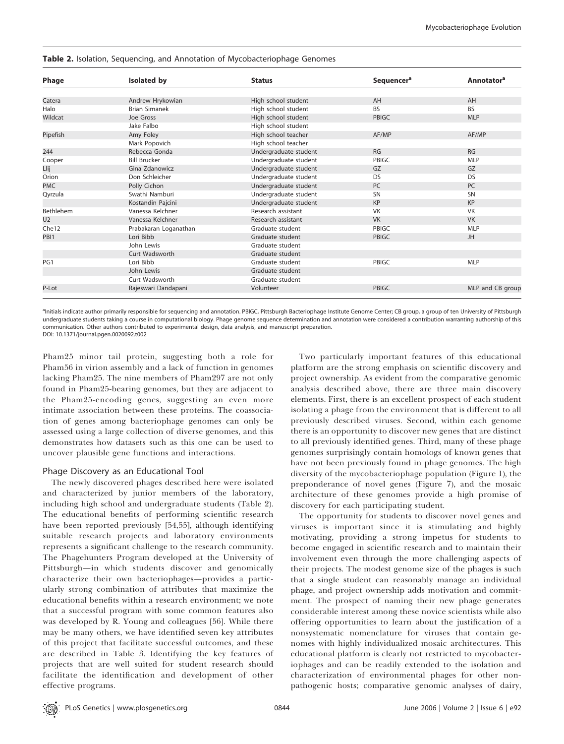|                  | Isolated by           | <b>Status</b>         | Sequencer <sup>a</sup> | <b>Annotator</b> <sup>a</sup> |
|------------------|-----------------------|-----------------------|------------------------|-------------------------------|
| Phage            |                       |                       |                        |                               |
|                  |                       |                       |                        |                               |
| Catera           | Andrew Hrykowian      | High school student   | AH                     | AH                            |
| Halo             | <b>Brian Simanek</b>  | High school student   | <b>BS</b>              | <b>BS</b>                     |
| Wildcat          | Joe Gross             | High school student   | PBIGC                  | <b>MLP</b>                    |
|                  | Jake Falbo            | High school student   |                        |                               |
| Pipefish         | Amy Foley             | High school teacher   | AF/MP                  | AF/MP                         |
|                  | Mark Popovich         | High school teacher   |                        |                               |
| 244              | Rebecca Gonda         | Undergraduate student | <b>RG</b>              | RG                            |
| Cooper           | <b>Bill Brucker</b>   | Undergraduate student | PBIGC                  | <b>MLP</b>                    |
| Llij             | Gina Zdanowicz        | Undergraduate student | GZ                     | GZ                            |
| Orion            | Don Schleicher        | Undergraduate student | <b>DS</b>              | DS                            |
| <b>PMC</b>       | Polly Cichon          | Undergraduate student | <b>PC</b>              | <b>PC</b>                     |
| Qyrzula          | Swathi Namburi        | Undergraduate student | <b>SN</b>              | SN                            |
|                  | Kostandin Pajcini     | Undergraduate student | <b>KP</b>              | <b>KP</b>                     |
| <b>Bethlehem</b> | Vanessa Kelchner      | Research assistant    | <b>VK</b>              | <b>VK</b>                     |
| U <sub>2</sub>   | Vanessa Kelchner      | Research assistant    | <b>VK</b>              | <b>VK</b>                     |
| Che12            | Prabakaran Loganathan | Graduate student      | PBIGC                  | <b>MLP</b>                    |
| PBI <sub>1</sub> | Lori Bibb             | Graduate student      | PBIGC                  | JH                            |
|                  | John Lewis            | Graduate student      |                        |                               |
|                  | Curt Wadsworth        | Graduate student      |                        |                               |
| PG1              | Lori Bibb             | Graduate student      | PBIGC                  | <b>MLP</b>                    |
|                  | John Lewis            | Graduate student      |                        |                               |
|                  | Curt Wadsworth        | Graduate student      |                        |                               |
| P-Lot            | Rajeswari Dandapani   | Volunteer             | <b>PBIGC</b>           | MLP and CB group              |
|                  |                       |                       |                        |                               |

#### Table 2. Isolation, Sequencing, and Annotation of Mycobacteriophage Genomes

<sup>a</sup>Initials indicate author primarily responsible for sequencing and annotation. PBIGC, Pittsburgh Bacteriophage Institute Genome Center; CB group, a group of ten University of Pittsburgh undergraduate students taking a course in computational biology. Phage genome sequence determination and annotation were considered a contribution warranting authorship of this communication. Other authors contributed to experimental design, data analysis, and manuscript preparation. DOI: 10.1371/journal.pgen.0020092.t002

Pham25 minor tail protein, suggesting both a role for Pham56 in virion assembly and a lack of function in genomes lacking Pham25. The nine members of Pham297 are not only found in Pham25-bearing genomes, but they are adjacent to the Pham25-encoding genes, suggesting an even more intimate association between these proteins. The coassociation of genes among bacteriophage genomes can only be assessed using a large collection of diverse genomes, and this demonstrates how datasets such as this one can be used to uncover plausible gene functions and interactions.

## Phage Discovery as an Educational Tool

The newly discovered phages described here were isolated and characterized by junior members of the laboratory, including high school and undergraduate students (Table 2). The educational benefits of performing scientific research have been reported previously [54,55], although identifying suitable research projects and laboratory environments represents a significant challenge to the research community. The Phagehunters Program developed at the University of Pittsburgh—in which students discover and genomically characterize their own bacteriophages—provides a particularly strong combination of attributes that maximize the educational benefits within a research environment; we note that a successful program with some common features also was developed by R. Young and colleagues [56]. While there may be many others, we have identified seven key attributes of this project that facilitate successful outcomes, and these are described in Table 3. Identifying the key features of projects that are well suited for student research should facilitate the identification and development of other effective programs.

Two particularly important features of this educational platform are the strong emphasis on scientific discovery and project ownership. As evident from the comparative genomic analysis described above, there are three main discovery elements. First, there is an excellent prospect of each student isolating a phage from the environment that is different to all previously described viruses. Second, within each genome there is an opportunity to discover new genes that are distinct to all previously identified genes. Third, many of these phage genomes surprisingly contain homologs of known genes that have not been previously found in phage genomes. The high diversity of the mycobacteriophage population (Figure 1), the preponderance of novel genes (Figure 7), and the mosaic architecture of these genomes provide a high promise of discovery for each participating student.

The opportunity for students to discover novel genes and viruses is important since it is stimulating and highly motivating, providing a strong impetus for students to become engaged in scientific research and to maintain their involvement even through the more challenging aspects of their projects. The modest genome size of the phages is such that a single student can reasonably manage an individual phage, and project ownership adds motivation and commitment. The prospect of naming their new phage generates considerable interest among these novice scientists while also offering opportunities to learn about the justification of a nonsystematic nomenclature for viruses that contain genomes with highly individualized mosaic architectures. This educational platform is clearly not restricted to mycobacteriophages and can be readily extended to the isolation and characterization of environmental phages for other nonpathogenic hosts; comparative genomic analyses of dairy,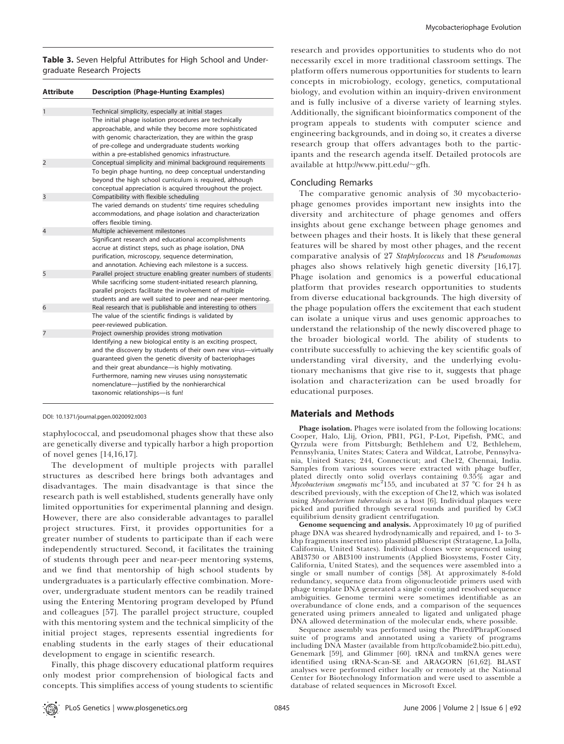Table 3. Seven Helpful Attributes for High School and Undergraduate Research Projects

| <b>Attribute</b> | <b>Description (Phage-Hunting Examples)</b>                                                                                                                                                                                                                                                                                                                                              |
|------------------|------------------------------------------------------------------------------------------------------------------------------------------------------------------------------------------------------------------------------------------------------------------------------------------------------------------------------------------------------------------------------------------|
|                  |                                                                                                                                                                                                                                                                                                                                                                                          |
| 1                | Technical simplicity, especially at initial stages                                                                                                                                                                                                                                                                                                                                       |
|                  | The initial phage isolation procedures are technically<br>approachable, and while they become more sophisticated<br>with genomic characterization, they are within the grasp<br>of pre-college and undergraduate students working<br>within a pre-established genomics infrastructure.                                                                                                   |
| $\overline{2}$   | Conceptual simplicity and minimal background requirements                                                                                                                                                                                                                                                                                                                                |
|                  | To begin phage hunting, no deep conceptual understanding<br>beyond the high school curriculum is required, although<br>conceptual appreciation is acquired throughout the project.                                                                                                                                                                                                       |
| 3                | Compatibility with flexible scheduling                                                                                                                                                                                                                                                                                                                                                   |
|                  | The varied demands on students' time requires scheduling<br>accommodations, and phage isolation and characterization<br>offers flexible timing.                                                                                                                                                                                                                                          |
| 4                | Multiple achievement milestones                                                                                                                                                                                                                                                                                                                                                          |
|                  | Significant research and educational accomplishments<br>accrue at distinct steps, such as phage isolation, DNA<br>purification, microscopy, sequence determination,<br>and annotation. Achieving each milestone is a success.                                                                                                                                                            |
| 5                | Parallel project structure enabling greater numbers of students                                                                                                                                                                                                                                                                                                                          |
|                  | While sacrificing some student-initiated research planning,<br>parallel projects facilitate the involvement of multiple<br>students and are well suited to peer and near-peer mentoring.                                                                                                                                                                                                 |
| 6                | Real research that is publishable and interesting to others                                                                                                                                                                                                                                                                                                                              |
|                  | The value of the scientific findings is validated by<br>peer-reviewed publication.                                                                                                                                                                                                                                                                                                       |
| 7                | Project ownership provides strong motivation                                                                                                                                                                                                                                                                                                                                             |
|                  | Identifying a new biological entity is an exciting prospect,<br>and the discovery by students of their own new virus-virtually<br>quaranteed given the genetic diversity of bacteriophages<br>and their great abundance-is highly motivating.<br>Furthermore, naming new viruses using nonsystematic<br>nomenclature-justified by the nonhierarchical<br>taxonomic relationships-is fun! |

DOI: 10.1371/journal.pgen.0020092.t003

staphylococcal, and pseudomonal phages show that these also are genetically diverse and typically harbor a high proportion of novel genes [14,16,17].

The development of multiple projects with parallel structures as described here brings both advantages and disadvantages. The main disadvantage is that since the research path is well established, students generally have only limited opportunities for experimental planning and design. However, there are also considerable advantages to parallel project structures. First, it provides opportunities for a greater number of students to participate than if each were independently structured. Second, it facilitates the training of students through peer and near-peer mentoring systems, and we find that mentorship of high school students by undergraduates is a particularly effective combination. Moreover, undergraduate student mentors can be readily trained using the Entering Mentoring program developed by Pfund and colleagues [57]. The parallel project structure, coupled with this mentoring system and the technical simplicity of the initial project stages, represents essential ingredients for enabling students in the early stages of their educational development to engage in scientific research.

Finally, this phage discovery educational platform requires only modest prior comprehension of biological facts and concepts. This simplifies access of young students to scientific

research and provides opportunities to students who do not necessarily excel in more traditional classroom settings. The platform offers numerous opportunities for students to learn concepts in microbiology, ecology, genetics, computational biology, and evolution within an inquiry-driven environment and is fully inclusive of a diverse variety of learning styles. Additionally, the significant bioinformatics component of the program appeals to students with computer science and engineering backgrounds, and in doing so, it creates a diverse research group that offers advantages both to the participants and the research agenda itself. Detailed protocols are available at http://www.pitt.edu/ $\sim$ gfh.

#### Concluding Remarks

The comparative genomic analysis of 30 mycobacteriophage genomes provides important new insights into the diversity and architecture of phage genomes and offers insights about gene exchange between phage genomes and between phages and their hosts. It is likely that these general features will be shared by most other phages, and the recent comparative analysis of 27 Staphylococcus and 18 Pseudomonas phages also shows relatively high genetic diversity [16,17]. Phage isolation and genomics is a powerful educational platform that provides research opportunities to students from diverse educational backgrounds. The high diversity of the phage population offers the excitement that each student can isolate a unique virus and uses genomic approaches to understand the relationship of the newly discovered phage to the broader biological world. The ability of students to contribute successfully to achieving the key scientific goals of understanding viral diversity, and the underlying evolutionary mechanisms that give rise to it, suggests that phage isolation and characterization can be used broadly for educational purposes.

## Materials and Methods

Phage isolation. Phages were isolated from the following locations: Cooper, Halo, Llij, Orion, PBI1, PG1, P-Lot, Pipefish, PMC, and Qyrzula were from Pittsburgh; Bethlehem and U2, Bethlehem, Pennsylvania, Unites States; Catera and Wildcat, Latrobe, Pennsylvania, United States; 244, Connecticut; and Che12, Chennai, India. Samples from various sources were extracted with phage buffer, plated directly onto solid overlays containing 0.35% agar and<br>*Mycobacterium smegmatis* mc<sup>2</sup>155, and incubated at 37 °C for 24 h as described previously, with the exception of Che12, which was isolated using Mycobacterium tuberculosis as a host [6]. Individual plaques were picked and purified through several rounds and purified by CsCl equilibrium density gradient centrifugation.

Genome sequencing and analysis. Approximately 10 *l*g of purified phage DNA was sheared hydrodynamically and repaired, and 1- to 3 kbp fragments inserted into plasmid pBluescript (Stratagene, La Jolla, California, United States). Individual clones were sequenced using ABI3730 or ABI3100 instruments (Applied Biosystems, Foster City, California, United States), and the sequences were assembled into a single or small number of contigs [58]. At approximately 8-fold redundancy, sequence data from oligonucleotide primers used with phage template DNA generated a single contig and resolved sequence ambiguities. Genome termini were sometimes identifiable as an overabundance of clone ends, and a comparison of the sequences generated using primers annealed to ligated and unligated phage DNA allowed determination of the molecular ends, where possible.

Sequence assembly was performed using the Phred/Phrap/Consed suite of programs and annotated using a variety of programs including DNA Master (available from http://cobamide2.bio.pitt.edu), Genemark [59], and Glimmer [60]. tRNA and tmRNA genes were identified using tRNA-Scan-SE and ARAGORN [61,62]. BLAST analyses were performed either locally or remotely at the National Center for Biotechnology Information and were used to assemble a database of related sequences in Microsoft Excel.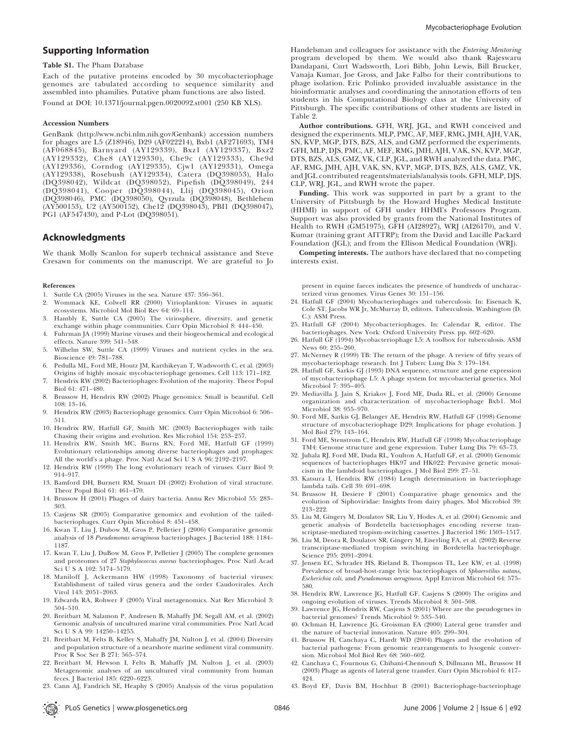# Supporting Information

#### Table S1. The Pham Database

Each of the putative proteins encoded by 30 mycobacteriophage genomes are tabulated according to sequence similarity and assembled into phamilies. Putative pham functions are also listed. Found at DOI: 10.1371/journal.pgen.0020092.st001 (250 KB XLS).

#### Accession Numbers

GenBank (http://www.ncbi.nlm.nih.gov/Genbank) accession numbers for phages are L5 (Z18946), D29 (AF022214), Bxb1 (AF271693), TM4 (AF068845), Barnyard (AY129339), Bxz1 (AY129337), Bxz2 (AY129332), Che8 (AY129330), Che9c (AY129333), Che9d (AY129336), Corndog (AY129335), Cjw1 (AY129331), Omega (AY129338), Rosebush (AY129334), Catera (DQ398053), Halo (DQ398042), Wildcat (DQ398052), Pipefish (DQ398049), 244 (DQ398041), Cooper (DQ398044), Llij (DQ398045), Orion (DQ398046), PMC (DQ398050), Qyrzula (DQ398048), Bethlehem  $(XY500153)$ , U2 (AY500152), Che12 (DQ398043), PBI1 (DQ398047), PG1 (AF547430), and P-Lot (DQ398051).

# Acknowledgments

We thank Molly Scanlon for superb technical assistance and Steve Cresawn for comments on the manuscript. We are grateful to Jo

#### References

- 1. Suttle CA (2005) Viruses in the sea. Nature 437: 356–361.
- 2. Wommack KE, Colwell RR (2000) Virioplankton: Viruses in aquatic ecosystems. Microbiol Mol Biol Rev 64: 69–114.
- 3. Hambly E, Suttle CA (2005) The viriosphere, diversity, and genetic exchange within phage communities. Curr Opin Microbiol 8: 444–450.
- 4. Fuhrman JA (1999) Marine viruses and their biogeochemical and ecological effects. Nature 399: 541–548.
- 5. Wilhelm SW, Suttle CA (1999) Viruses and nutrient cycles in the sea. Bioscience 49: 781–788.
- 6. Pedulla ML, Ford ME, Houtz JM, Karthikeyan T, Wadsworth C, et al. (2003) Origins of highly mosaic mycobacteriophage genomes. Cell 113: 171–182.
- 7. Hendrix RW (2002) Bacteriophages: Evolution of the majority. Theor Popul Biol 61: 471–480.
- 8. Brussow H, Hendrix RW (2002) Phage genomics: Small is beautiful. Cell 108: 13–16.
- 9. Hendrix RW (2003) Bacteriophage genomics. Curr Opin Microbiol 6: 506– 511.
- 10. Hendrix RW, Hatfull GF, Smith MC (2003) Bacteriophages with tails: Chasing their origins and evolution. Res Microbiol 154: 253–257.
- 11. Hendrix RW, Smith MC, Burns RN, Ford ME, Hatfull GF (1999) Evolutionary relationships among diverse bacteriophages and prophages: All the world's a phage. Proc Natl Acad Sci U S A 96: 2192–2197.
- 12. Hendrix RW (1999) The long evolutionary reach of viruses. Curr Biol 9: 914–917.
- 13. Bamford DH, Burnett RM, Stuart DI (2002) Evolution of viral structure. Theor Popul Biol 61: 461–470.
- 14. Brussow H (2001) Phages of dairy bacteria. Annu Rev Microbiol 55: 283– 303.
- 15. Casjens SR (2005) Comparative genomics and evolution of the tailedbacteriophages. Curr Opin Microbiol 8: 451–458.
- 16. Kwan T, Liu J, Dubow M, Gros P, Pelletier J (2006) Comparative genomic analysis of 18 Pseudomonas aeruginosa bacteriophages. J Bacteriol 188: 1184– 1187.
- 17. Kwan T, Liu J, DuBow M, Gros P, Pelletier J (2005) The complete genomes and proteomes of 27 Staphylococcus aureus bacteriophages. Proc Natl Acad Sci U S A 102: 5174–5179.
- 18. Maniloff J, Ackermann HW (1998) Taxonomy of bacterial viruses: Establishment of tailed virus genera and the order Caudovirales. Arch Virol 143: 2051–2063.
- 19. Edwards RA, Rohwer F (2005) Viral metagenomics. Nat Rev Microbiol 3: 504–510.
- 20. Breitbart M, Salamon P, Andresen B, Mahaffy JM, Segall AM, et al. (2002) Genomic analysis of uncultured marine viral communities. Proc Natl Acad Sci U S A 99: 14250–14255.
- 21. Breitbart M, Felts B, Kelley S, Mahaffy JM, Nulton J, et al. (2004) Diversity and population structure of a nearshore marine sediment viral community. Proc R Soc Ser B 271: 565–574.
- 22. Breitbart M, Hewson I, Felts B, Mahaffy JM, Nulton J, et al. (2003) Metagenomic analyses of an uncultured viral community from human feces. J Bacteriol 185: 6220–6223.
- 23. Cann AJ, Fandrich SE, Heaphy S (2005) Analysis of the virus population

Handelsman and colleagues for assistance with the Entering Mentoring program developed by them. We would also thank Rajeswaru Dandapani, Curt Wadsworth, Lori Bibb, John Lewis, Bill Brucker, Vanaja Kumar, Joe Gross, and Jake Falbo for their contributions to phage isolation. Eric Polinko provided invaluable assistance in the bioinformatic analyses and coordinating the annotation efforts of ten students in his Computational Biology class at the University of Pittsburgh. The specific contributions of other students are listed in Table 2.

Author contributions. GFH, WRJ, JGL, and RWH conceived and designed the experiments. MLP, PMC, AF, MEF, RMG, JMH, AJH, VAK, SN, KVP, MGP, DTS, BZS, ALS, and GMZ performed the experiments. GFH, MLP, DJS, PMC, AF, MEF, RMG, JMH, AJH, VAK, SN, KVP, MGP, DTS, BZS, ALS, GMZ, VK, CLP, JGL, and RWH analyzed the data. PMC, AF, RMG, JMH, AJH, VAK, SN, KVP, MGP, DTS, BZS, ALS, GMZ, VK, and JGL contributed reagents/materials/analysis tools. GFH, MLP, DJS, CLP, WRJ, JGL, and RWH wrote the paper.

Funding. This work was supported in part by a grant to the University of Pittsburgh by the Howard Hughes Medical Institute (HHMI) in support of GFH under HHMI's Professors Program. Support was also provided by grants from the National Institutes of Health to RWH (GM51975), GFH (AI28927), WRJ (AI26170), and V. Kumar (training grant AITTRP); from the David and Lucille Packard Foundation (JGL); and from the Ellison Medical Foundation (WRJ).

Competing interests. The authors have declared that no competing interests exist.

present in equine faeces indicates the presence of hundreds of uncharacterized virus genomes. Virus Genes 30: 151–156.

- 24. Hatfull GF (2004) Mycobacteriophages and tuberculosis. In: Eisenach K, Cole ST, Jacobs WR Jr, McMurray D, editors. Tuberculosis. Washington (D. C.): ASM Press
- 25. Hatfull GF (2004) Mycobacteriophages. In: Calendar R, editor. The bacteriophages. New York: Oxford University Press. pp. 602–620.
- 26. Hatfull GF (1994) Mycobacteriophage L5: A toolbox for tuberculosis. ASM News 60: 255–260.
- 27. McNerney R (1999) TB: The return of the phage. A review of fifty years of mycobacteriophage research. Int J Tuberc Lung Dis 3: 179–184.
- 28. Hatfull GF, Sarkis GJ (1993) DNA sequence, structure and gene expression of mycobacteriophage L5: A phage system for mycobacterial genetics. Mol Microbiol 7: 395–405.
- 29. Mediavilla J, Jain S, Kriakov J, Ford ME, Duda RL, et al. (2000) Genome organization and characterization of mycobacteriophage Bxb1. Mol Microbiol 38: 955–970.
- 30. Ford ME, Sarkis GJ, Belanger AE, Hendrix RW, Hatfull GF (1998) Genome structure of mycobacteriophage D29: Implications for phage evolution. J Mol Biol 279: 143–164.
- 31. Ford ME, Stenstrom C, Hendrix RW, Hatfull GF (1998) Mycobacteriophage TM4: Genome structure and gene expression. Tuber Lung Dis 79: 63–73.
- 32. Juhala RJ, Ford ME, Duda RL, Youlton A, Hatfull GF, et al. (2000) Genomic sequences of bacteriophages HK97 and HK022: Pervasive genetic mosaicism in the lambdoid bacteriophages. J Mol Biol 299: 27–51.
- 33. Katsura I, Hendrix RW (1984) Length determination in bacteriophage lambda tails. Cell 39: 691–698.
- 34. Brussow H, Desiere F (2001) Comparative phage genomics and the evolution of Siphoviridae: Insights from dairy phages. Mol Microbiol 39: 213–222.
- 35. Liu M, Gingery M, Doulatov SR, Liu Y, Hodes A, et al. (2004) Genomic and genetic analysis of Bordetella bacteriophages encoding reverse transcriptase-mediated tropism-switching cassettes. J Bacteriol 186: 1503–1517.
- 36. Liu M, Deora R, Doulatov SR, Gingery M, Eiserling FA, et al. (2002) Reverse transcriptase-mediated tropism switching in Bordetella bacteriophage. Science 295: 2091–2094.
- 37. Jensen EC, Schrader HS, Rieland B, Thompson TL, Lee KW, et al. (1998) Prevalence of broad-host-range lytic bacteriophages of Sphaerotilus natans, Escherichia coli, and Pseudomonas aeruginosa. Appl Environ Microbiol 64: 575– 580.
- 38. Hendrix RW, Lawrence JG, Hatfull GF, Casjens S (2000) The origins and ongoing evolution of viruses. Trends Microbiol 8: 504–508.
- 39. Lawrence JG, Hendrix RW, Casjens S (2001) Where are the pseudogenes in bacterial genomes? Trends Microbiol 9: 535–540.
- 40. Ochman H, Lawrence JG, Groisman EA (2000) Lateral gene transfer and the nature of bacterial innovation. Nature 405: 299–304.
- 41. Brussow H, Canchaya C, Hardt WD (2004) Phages and the evolution of bacterial pathogens: From genomic rearrangements to lysogenic conversion. Microbiol Mol Biol Rev 68: 560–602.
- 42. Canchaya C, Fournous G, Chibani-Chennoufi S, Dillmann ML, Brussow H (2003) Phage as agents of lateral gene transfer. Curr Opin Microbiol 6: 417– 424.
- 43. Boyd EF, Davis BM, Hochhut B (2001) Bacteriophage-bacteriophage

PLoS Genetics | www.plosgenetics.org June 2006 | Volume 2 | Issue 6 | e92 0846